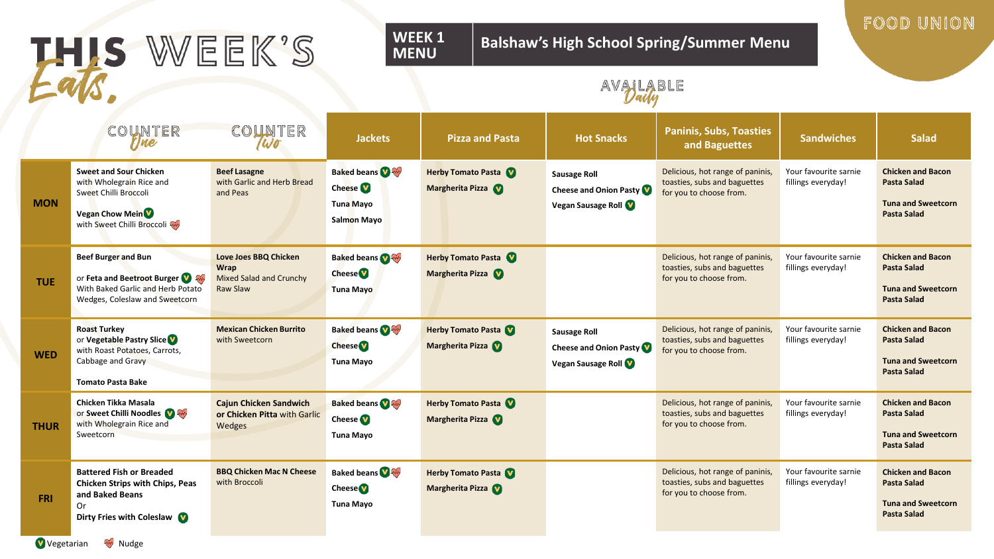|             | THIS WEEK'S                                                                                                                                            |                                                                                           | WEEK 1<br><b>Balshaw's High School Spring/Summer Menu</b><br><b>MENU</b>     |                                               |                                                                            |                                                                                             |                                             |                                                                                                   |  |  |
|-------------|--------------------------------------------------------------------------------------------------------------------------------------------------------|-------------------------------------------------------------------------------------------|------------------------------------------------------------------------------|-----------------------------------------------|----------------------------------------------------------------------------|---------------------------------------------------------------------------------------------|---------------------------------------------|---------------------------------------------------------------------------------------------------|--|--|
|             |                                                                                                                                                        |                                                                                           |                                                                              | AVALABLE                                      |                                                                            |                                                                                             |                                             |                                                                                                   |  |  |
|             | COUNTER<br>rjne                                                                                                                                        | COUNTER<br>Wo                                                                             | <b>Jackets</b>                                                               | <b>Pizza and Pasta</b>                        | <b>Hot Snacks</b>                                                          | <b>Paninis, Subs, Toasties</b><br>and Baguettes                                             | <b>Sandwiches</b>                           | <b>Salad</b>                                                                                      |  |  |
| <b>MON</b>  | <b>Sweet and Sour Chicken</b><br>with Wholegrain Rice and<br>Sweet Chilli Broccoli<br><b>Vegan Chow Mein<sup>V</sup></b><br>with Sweet Chilli Broccoli | <b>Beef Lasagne</b><br>with Garlic and Herb Bread<br>and Peas                             | <b>Baked beans</b><br>Cheese <sup>V</sup><br><b>Tuna Mayo</b><br>Salmon Mayo | <b>Herby Tomato Pasta</b><br>Margherita Pizza | <b>Sausage Roll</b><br>Cheese and Onion Pasty<br>Vegan Sausage Roll        | Delicious, hot range of paninis,<br>toasties, subs and baguettes<br>for you to choose from. | Your favourite sarnie<br>fillings everyday! | <b>Chicken and Bacon</b><br><b>Pasta Salad</b><br><b>Tuna and Sweetcorn</b><br><b>Pasta Salad</b> |  |  |
| <b>TUE</b>  | <b>Beef Burger and Bun</b><br>or Feta and Beetroot Burger<br>With Baked Garlic and Herb Potato<br>Wedges, Coleslaw and Sweetcorn                       | <b>Love Joes BBQ Chicken</b><br><b>Wrap</b><br>Mixed Salad and Crunchy<br><b>Raw Slaw</b> | <b>Baked beans</b><br><b>Cheese</b><br><b>Tuna Mayo</b>                      | <b>Herby Tomato Pasta</b><br>Margherita Pizza |                                                                            | Delicious, hot range of paninis,<br>toasties, subs and baguettes<br>for you to choose from. | Your favourite sarnie<br>fillings everyday! | <b>Chicken and Bacon</b><br><b>Pasta Salad</b><br><b>Tuna and Sweetcorn</b><br><b>Pasta Salad</b> |  |  |
| <b>WED</b>  | <b>Roast Turkey</b><br>or Vegetable Pastry Slice<br>with Roast Potatoes, Carrots,<br>Cabbage and Gravy<br><b>Tomato Pasta Bake</b>                     | <b>Mexican Chicken Burrito</b><br>with Sweetcorn                                          | <b>Baked beans</b><br><b>Cheese</b><br>Tuna Mayo                             | <b>Herby Tomato Pasta</b><br>Margherita Pizza | <b>Sausage Roll</b><br><b>Cheese and Onion Pasty</b><br>Vegan Sausage Roll | Delicious, hot range of paninis,<br>toasties, subs and baguettes<br>for you to choose from. | Your favourite sarnie<br>fillings everyday! | <b>Chicken and Bacon</b><br><b>Pasta Salad</b><br><b>Tuna and Sweetcorn</b><br><b>Pasta Salad</b> |  |  |
| <b>THUR</b> | Chicken Tikka Masala<br>or Sweet Chilli Noodles<br>with Wholegrain Rice and<br>Sweetcorn                                                               | <b>Cajun Chicken Sandwich</b><br>or Chicken Pitta with Garlic<br>Wedges                   | <b>Baked beans</b><br>Cheese <sup><sup>1</sup></sup><br>Tuna Mayo            | Herby Tomato Pasta<br>Margherita Pizza        |                                                                            | Delicious, hot range of paninis,<br>toasties, subs and baguettes<br>for you to choose from. | Your favourite sarnie<br>fillings everyday! | <b>Chicken and Bacon</b><br><b>Pasta Salad</b><br><b>Tuna and Sweetcorn</b><br><b>Pasta Salad</b> |  |  |
| <b>FRI</b>  | <b>Battered Fish or Breaded</b><br><b>Chicken Strips with Chips, Peas</b><br>and Baked Beans<br>0r<br>Dirty Fries with Coleslaw                        | <b>BBQ Chicken Mac N Cheese</b><br>with Broccoli                                          | <b>Baked beans</b><br><b>Cheese</b><br>Tuna Mayo                             | <b>Herby Tomato Pasta</b><br>Margherita Pizza |                                                                            | Delicious, hot range of paninis,<br>toasties, subs and baguettes<br>for you to choose from. | Your favourite sarnie<br>fillings everyday! | <b>Chicken and Bacon</b><br><b>Pasta Salad</b><br><b>Tuna and Sweetcorn</b><br><b>Pasta Salad</b> |  |  |

**WEEK 1** 

## FOOD UNION **Balshaw's High School Spring/Summer Menu**

Vegetarian W Nudge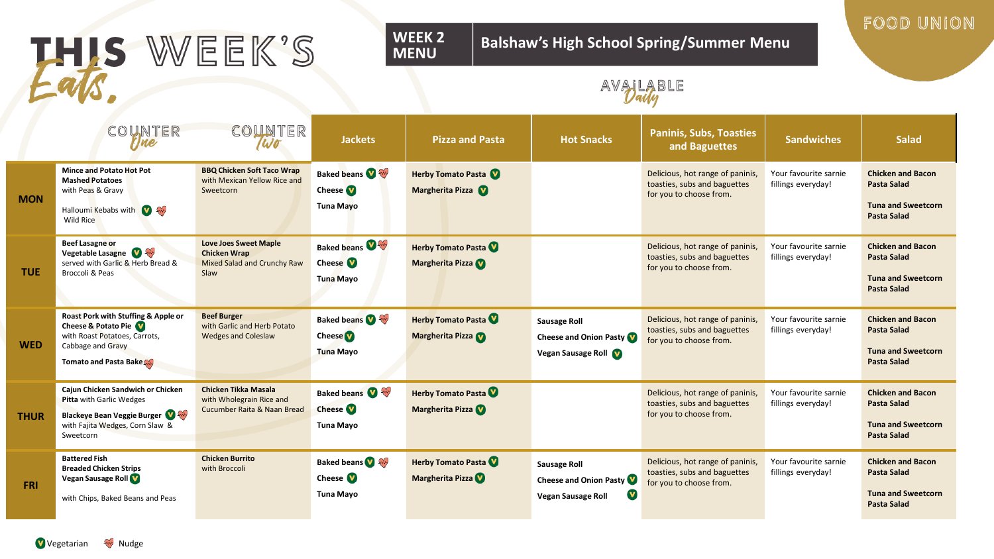| U U         |                                                                                                                                                       |                                                                                            | AVAILABLE                                                  |                                               |                                                                                             |                                                                                             |                                             |                                                                                                   |
|-------------|-------------------------------------------------------------------------------------------------------------------------------------------------------|--------------------------------------------------------------------------------------------|------------------------------------------------------------|-----------------------------------------------|---------------------------------------------------------------------------------------------|---------------------------------------------------------------------------------------------|---------------------------------------------|---------------------------------------------------------------------------------------------------|
|             | COUNTER                                                                                                                                               | COUNTER                                                                                    | <b>Jackets</b>                                             | <b>Pizza and Pasta</b>                        | <b>Hot Snacks</b>                                                                           | <b>Paninis, Subs, Toasties</b><br>and Baguettes                                             | <b>Sandwiches</b>                           | <b>Salad</b>                                                                                      |
| <b>MON</b>  | <b>Mince and Potato Hot Pot</b><br><b>Mashed Potatoes</b><br>with Peas & Gravy<br>Halloumi Kebabs with <b>V</b><br>Wild Rice                          | <b>BBQ Chicken Soft Taco Wrap</b><br>with Mexican Yellow Rice and<br>Sweetcorn             | <b>Baked beans</b><br><b>Cheese</b><br>Tuna Mayo           | <b>Herby Tomato Pasta</b><br>Margherita Pizza |                                                                                             | Delicious, hot range of paninis,<br>toasties, subs and baguettes<br>for you to choose from. | Your favourite sarnie<br>fillings everyday! | <b>Chicken and Bacon</b><br><b>Pasta Salad</b><br><b>Tuna and Sweetcorn</b><br><b>Pasta Salad</b> |
| <b>TUE</b>  | <b>Beef Lasagne or</b><br>Vegetable Lasagne<br>served with Garlic & Herb Bread &<br>Broccoli & Peas                                                   | <b>Love Joes Sweet Maple</b><br><b>Chicken Wrap</b><br>Mixed Salad and Crunchy Raw<br>Slaw | <b>Baked beans</b><br>Cheese <b>V</b><br>Tuna Mayo         | <b>Herby Tomato Pasta</b><br>Margherita Pizza |                                                                                             | Delicious, hot range of paninis,<br>toasties, subs and baguettes<br>for you to choose from. | Your favourite sarnie<br>fillings everyday! | <b>Chicken and Bacon</b><br><b>Pasta Salad</b><br><b>Tuna and Sweetcorn</b><br><b>Pasta Salad</b> |
| <b>WED</b>  | Roast Pork with Stuffing & Apple or<br>Cheese & Potato Pie<br>with Roast Potatoes, Carrots,<br>Cabbage and Gravy<br>Tomato and Pasta Bake             | <b>Beef Burger</b><br>with Garlic and Herb Potato<br><b>Wedges and Coleslaw</b>            | <b>Baked beans OF</b><br><b>Cheese</b><br><b>Tuna Mayo</b> | Herby Tomato Pasta<br>Margherita Pizza        | <b>Sausage Roll</b><br><b>Cheese and Onion Pasty V</b><br>Vegan Sausage Roll                | Delicious, hot range of paninis,<br>toasties, subs and baguettes<br>for you to choose from. | Your favourite sarnie<br>fillings everyday! | <b>Chicken and Bacon</b><br><b>Pasta Salad</b><br><b>Tuna and Sweetcorn</b><br><b>Pasta Salad</b> |
| <b>THUR</b> | Cajun Chicken Sandwich or Chicken<br>Pitta with Garlic Wedges<br><b>Blackeye Bean Veggie Burger W</b><br>with Fajita Wedges, Corn Slaw &<br>Sweetcorn | Chicken Tikka Masala<br>with Wholegrain Rice and<br>Cucumber Raita & Naan Bread            | Baked beans<br><b>Cheese</b><br><b>Tuna Mayo</b>           | <b>Herby Tomato Pasta</b><br>Margherita Pizza |                                                                                             | Delicious, hot range of paninis,<br>toasties, subs and baguettes<br>for you to choose from. | Your favourite sarnie<br>fillings everyday! | <b>Chicken and Bacon</b><br><b>Pasta Salad</b><br><b>Tuna and Sweetcorn</b><br><b>Pasta Salad</b> |
| <b>FRI</b>  | <b>Battered Fish</b><br><b>Breaded Chicken Strips</b><br>Vegan Sausage Roll<br>with Chips, Baked Beans and Peas                                       | <b>Chicken Burrito</b><br>with Broccoli                                                    | <b>Baked beans</b><br>Cheese <b>V</b><br><b>Tuna Mayo</b>  | <b>Herby Tomato Pasta</b><br>Margherita Pizza | <b>Sausage Roll</b><br>Cheese and Onion Pasty V<br>$\mathbf v$<br><b>Vegan Sausage Roll</b> | Delicious, hot range of paninis,<br>toasties, subs and baguettes<br>for you to choose from. | Your favourite sarnie<br>fillings everyday! | <b>Chicken and Bacon</b><br><b>Pasta Salad</b><br><b>Tuna and Sweetcorn</b><br><b>Pasta Salad</b> |

# THIS WEEK'S

### **WEEK 2 MENU**

## **Balshaw's High School Spring/Summer Menu**

FOOD UNION

Vegetarian W Nudge